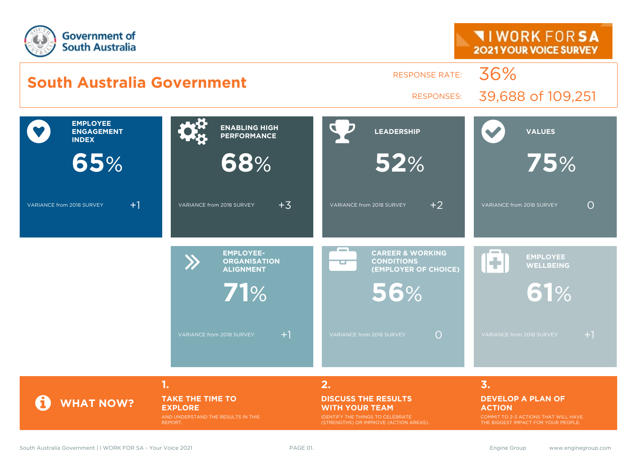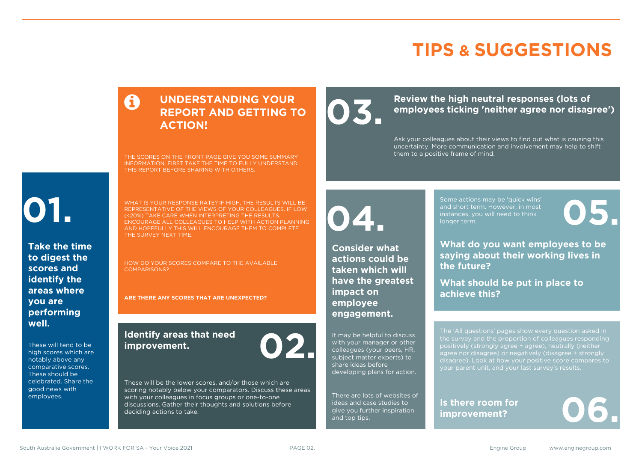#### **TIPS & SUGGESTIONS**

#### **UNDERSTANDING YOUR REPORT AND GETTING TO ACTION!**

THE SCORES ON THE FRONT PAGE GIVE YOU SOME SUMMARY INFORMATION. FIRST TAKE THE TIME TO FULLY UNDERSTAND THIS REPORT BEFORE SHARING WITH OTHERS.

# **01.**

**Take the time to digest the scores and identify the areas where you are performing well.**

These will tend to be high scores which are notably above any comparative scores. These should be celebrated. Share the good news with employees.

WHAT IS YOUR RESPONSE RATE? IF HIGH, THE RESULTS WILL BE REPRESENTATIVE OF THE VIEWS OF YOUR COLLEAGUES. IF LOW (<20%) TAKE CARE WHEN INTERPRETING THE RESULTS. ENCOURAGE ALL COLLEAGUES TO HELP WITH ACTION PLANNING AND HOPEFULLY THIS WILL ENCOURAGE THEM TO COMPLETE THE SURVEY NEXT TIME.

HOW DO YOUR SCORES COMPARE TO THE AVAILABLE COMPARISONS?

**ARE THERE ANY SCORES THAT ARE UNEXPECTED?**

#### **Identify areas that need improvement. 02.**

These will be the lower scores, and/or those which are scoring notably below your comparators. Discuss these areas with your colleagues in focus groups or one-to-one discussions. Gather their thoughts and solutions before deciding actions to take.

#### Review the high neutral responses (lots of employees ticking 'neither agree nor disag **employees ticking 'neither agree nor disagree')**

them to a positive frame of mind.

Ask your colleagues about their views to find out what is causing this uncertainty. More communication and involvement may help to shift

**04.**

**Consider what actions could be taken which will have the greatest impact on employee engagement.**

It may be helpful to discuss with your manager or other colleagues (your peers, HR, subject matter experts) to share ideas before developing plans for action.

There are lots of websites of ideas and case studies to give you further inspiration and top tips.

Some actions may be 'quick wins' and short term. However, in most instances, you will need to think Some actions may be 'quick wins'<br>and short term. However, in most<br>instances, you will need to think<br>longer term.

**What do you want employees to be saying about their working lives in the future?**

**What should be put in place to achieve this?**

The 'All questions' pages show every question asked in positively (strongly agree + agree), neutrally (neither agree nor disagree) or negatively (disagree + strongly disagree). Look at how your positive score compares to your parent unit, and your last survey's results.

**Is there room for** 

Is there room for<br>improvement?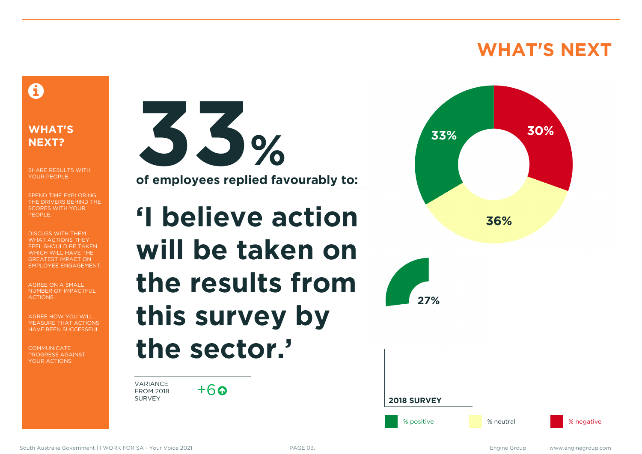#### **WHAT'S NEXT**

#### A

#### **WHAT'S NEXT?**

SHARE RESULTS WITH YOUR PEOPLE.

SPEND TIME EXPLORING THE DRIVERS BEHIND THE SCORES WITH YOUR PEOPLE.

DISCUSS WITH THEM WHAT ACTIONS THEY FEEL SHOULD BE TAKEN WHICH WILL HAVE THE GREATEST IMPACT ON EMPLOYEE ENGAGEMENT.

AGREE ON A SMALL NUMBER OF IMPACTFUL ACTIONS.

AGREE HOW YOU WILL MEASURE THAT ACTIONS HAVE BEEN SUCCESSFUL.

**COMMUNICATE** PROGRESS AGAINST YOUR ACTIONS.



**of employees replied favourably to:**

**'I believe action will be taken on the results from this survey by the sector.'**

VARIANCE FROM 2018 SURVEY

 $+6$ 





**2018 SURVEY**

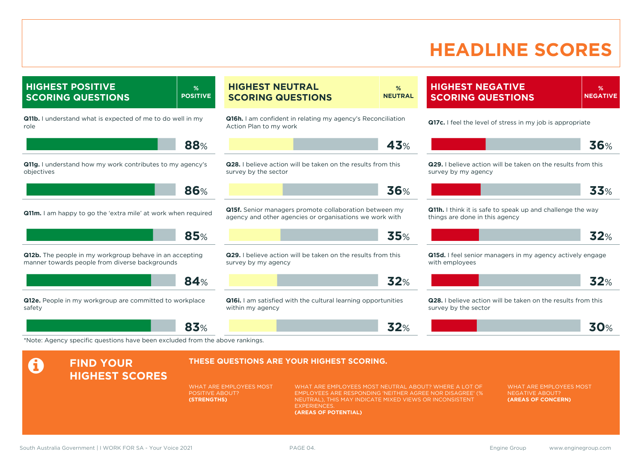#### **HEADLINE SCORES**

**HIGHEST POSITIVE SCORING QUESTIONS % POSITIVE Q11b.** I understand what is expected of me to do well in my role **88**% **Q11g.** I understand how my work contributes to my agency's objectives **86**% **Q11m.** I am happy to go the 'extra mile' at work when required **85**% **Q12b.** The people in my workgroup behave in an accepting manner towards people from diverse backgrounds **84**% **Q12e.** People in my workgroup are committed to workplace safety **83**% **HIGHEST NEUTRAL SCORING QUESTIONS % NEUTRAL Q16h.** I am confident in relating my agency's Reconciliation Action Plan to my work **43**% **Q28.** I believe action will be taken on the results from this survey by the sector **36**% **Q15f.** Senior managers promote collaboration between my agency and other agencies or organisations we work with **35**% **Q29.** I believe action will be taken on the results from this survey by my agency **32**% **Q16i.** I am satisfied with the cultural learning opportunities within my agency **32**% **HIGHEST NEGATIVE SCORING QUESTIONS % NEGATIVE Q17c.** I feel the level of stress in my job is appropriate **36**% **Q29.** I believe action will be taken on the results from this survey by my agency **33**% **Q11h.** I think it is safe to speak up and challenge the way things are done in this agency **32**% **Q15d.** I feel senior managers in my agency actively engage with employees **32**% **Q28.** I believe action will be taken on the results from this survey by the sector **30**% \*Note: Agency specific questions have been excluded from the above rankings. **A** FIND YOUR **HIGHEST SCORES THESE QUESTIONS ARE YOUR HIGHEST SCORING.** WHAT ARE EMPLOYEES MOST POSITIVE ABOUT? **(STRENGTHS)** WHAT ARE EMPLOYEES MOST NEUTRAL ABOUT? WHERE A LOT OF EMPLOYEES ARE RESPONDING 'NEITHER AGREE NOR DISAGREE' (% NEUTRAL), THIS MAY INDICATE MIXED VIEWS OR INCONSISTENT **EXPERIENCES (AREAS OF POTENTIAL)** WHAT ARE EMPLOYEES MOST NEGATIVE ABOUT? **(AREAS OF CONCERN)** South Australia Government | I WORK FOR SA - Your Voice 2021 **PAGE 04.** PAGE 04. Engine Group www.enginegroup.com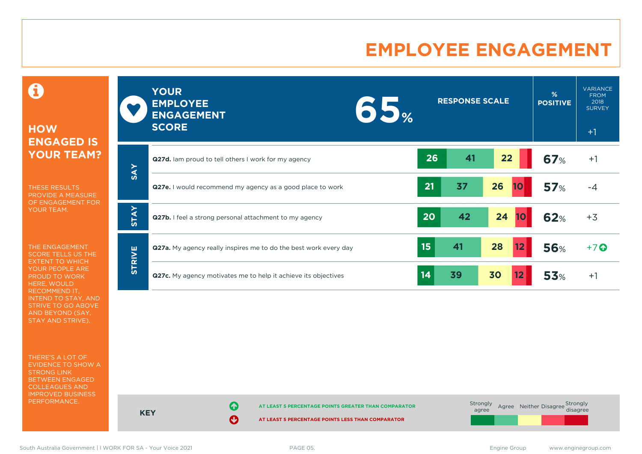#### **EMPLOYEE ENGAGEMENT**

0

#### **HOW ENGAGED IS YOUR TEAM?**

THESE RESULTS PROVIDE A MEASURE OF ENGAGEMENT FOR YOUR TEAM.

THE ENGAGEMENT SCORE TELLS US THE EXTENT TO WHICH YOUR PEOPLE ARE PROUD TO WORK HERE, WOULD RECOMMEND IT, INTEND TO STAY, AND STRIVE TO GO ABOVE AND BEYOND (SAY, STAY AND STRIVE).

THERE'S A LOT OF EVIDENCE TO SHOW A STRONG LINK BETWEEN ENGAGED COLLEAGUES AND IMPROVED BUSINESS PERFORMANCE.

|               | <b>YOUR</b><br><b>EMPLOYEE</b><br><b>ENGAGEMENT</b><br><b>SCORE</b> | $\bullet$ |    | <b>RESPONSE SCALE</b> |                 | %<br><b>POSITIVE</b> | <b>VARIANCE</b><br><b>FROM</b><br>2018<br><b>SURVEY</b><br>$+1$ |
|---------------|---------------------------------------------------------------------|-----------|----|-----------------------|-----------------|----------------------|-----------------------------------------------------------------|
| <b>SAY</b>    | Q27d. Iam proud to tell others I work for my agency                 |           | 26 | 41                    | 22              | <b>67%</b>           | $+1$                                                            |
|               | Q27e. I would recommend my agency as a good place to work           |           | 21 | 37                    | 26<br>10        | 57%                  | $-4$                                                            |
| <b>STAY</b>   | Q27b. I feel a strong personal attachment to my agency              |           | 20 | 42                    | 24<br><b>10</b> | <b>62%</b>           | $+3$                                                            |
| <b>STRIVE</b> | Q27a. My agency really inspires me to do the best work every day    |           | 15 | 41                    | 28<br>12        | <b>56%</b>           | $+7$ $\odot$                                                    |
|               | Q27c. My agency motivates me to help it achieve its objectives      |           | 14 | 39                    | 30<br>12        | <b>53%</b>           | $+1$                                                            |



**KEY**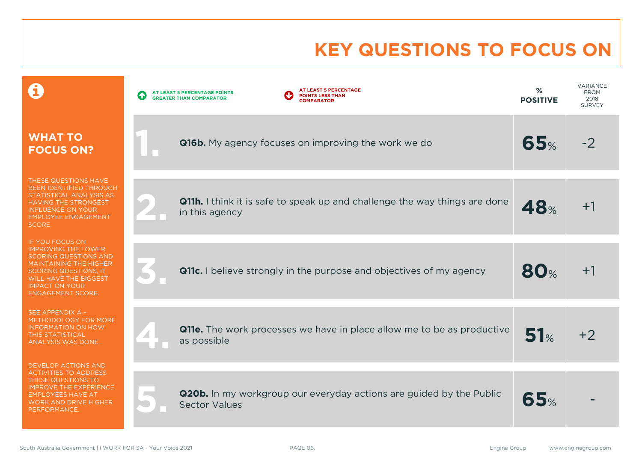# **KEY QUESTIONS TO FOCUS ON**

|                                                                                                                                                                                                                                     | AT LEAST 5 PERCENTAGE<br>AT LEAST 5 PERCENTAGE POINTS<br>$\blacklozenge$<br><b>POINTS LESS THAN</b><br><b>GREATER THAN COMPARATOR</b><br><b>COMPARATOR</b> | %<br><b>POSITIVE</b> | <b>VARIANCE</b><br><b>FROM</b><br>2018<br><b>SURVEY</b> |
|-------------------------------------------------------------------------------------------------------------------------------------------------------------------------------------------------------------------------------------|------------------------------------------------------------------------------------------------------------------------------------------------------------|----------------------|---------------------------------------------------------|
| <b>WHAT TO</b><br><b>FOCUS ON?</b>                                                                                                                                                                                                  | <b>Q16b.</b> My agency focuses on improving the work we do                                                                                                 | 65%                  | $-2$                                                    |
| THESE QUESTIONS HAVE<br>BEEN IDENTIFIED THROUGH<br>STATISTICAL ANALYSIS AS<br>HAVING THE STRONGEST<br><b>INFLUENCE ON YOUR</b><br><b>EMPLOYEE ENGAGEMENT</b><br><b>SCORE.</b>                                                       | <b>Q11h.</b> I think it is safe to speak up and challenge the way things are done<br>in this agency                                                        | 48%                  | $+1$                                                    |
| IF YOU FOCUS ON<br><b>IMPROVING THE LOWER</b><br><b>SCORING QUESTIONS AND</b><br><b>MAINTAINING THE HIGHER</b><br><b>SCORING QUESTIONS, IT</b><br><b>WILL HAVE THE BIGGEST</b><br><b>IMPACT ON YOUR</b><br><b>ENGAGEMENT SCORE.</b> | <b>Q11c.</b> I believe strongly in the purpose and objectives of my agency                                                                                 | <b>80%</b>           | $+1$                                                    |
| SEE APPENDIX A -<br>METHODOLOGY FOR MORE<br><b>INFORMATION ON HOW</b><br><b>THIS STATISTICAL</b><br>ANALYSIS WAS DONE.                                                                                                              | <b>Q11e.</b> The work processes we have in place allow me to be as productive<br>as possible                                                               | 51%                  | $+2$                                                    |
| DEVELOP ACTIONS AND<br><b>ACTIVITIES TO ADDRESS</b><br>THESE QUESTIONS TO<br><b>IMPROVE THE EXPERIENCE</b><br><b>EMPLOYEES HAVE AT</b><br><b>WORK AND DRIVE HIGHER</b><br>PERFORMANCE.                                              | <b>Q20b.</b> In my workgroup our everyday actions are guided by the Public<br><b>Sector Values</b>                                                         | 65%                  |                                                         |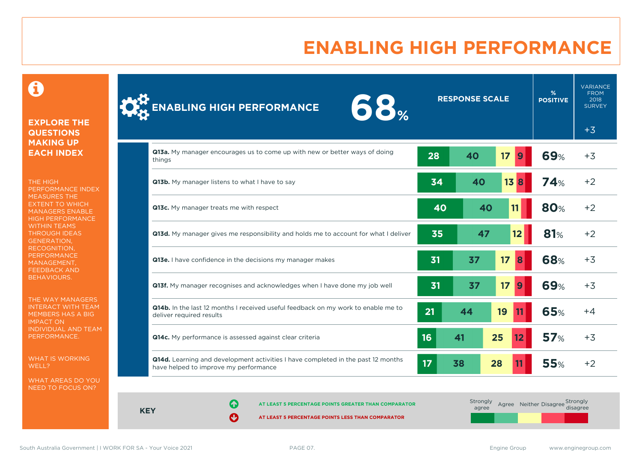### **ENABLING HIGH PERFORMANCE**

#### 0

#### **EXPLORE THE QUESTIONS MAKING UP EACH INDEX**

THE HIGH PERFORMANCE INDEX MEASURES THE EXTENT TO WHICH MANAGERS ENABLE HIGH PERFORMANCE WITHIN TEAMS THROUGH IDEAS GENERATION, RECOGNITION, **PERFORMANCE** MANAGEMENT, FEEDBACK AND BEHAVIOURS.

THE WAY MANAGERS INTERACT WITH TEAM MEMBERS HAS A BIG IMPACT ON INDIVIDUAL AND TEAM PERFORMANCE.

WHAT IS WORKING WELL?

WHAT AREAS DO YOU NEED TO FOCUS ON?

| <b>ENABLING HIGH PERFORMANCE</b><br>00%                                                                                          |    | <b>RESPONSE SCALE</b> |          | %<br><b>POSITIVE</b> | <b>FROM</b><br>2018<br><b>SURVEY</b> |
|----------------------------------------------------------------------------------------------------------------------------------|----|-----------------------|----------|----------------------|--------------------------------------|
|                                                                                                                                  |    |                       |          |                      | $+3$                                 |
| Q13a. My manager encourages us to come up with new or better ways of doing<br>things                                             | 28 | 40                    | 17       | <b>69%</b>           | $+3$                                 |
| Q13b. My manager listens to what I have to say                                                                                   | 34 | 40                    | 13B      | 74%                  | $+2$                                 |
| Q13c. My manager treats me with respect                                                                                          | 40 | 40                    | 11       | <b>80%</b>           | $+2$                                 |
| Q13d. My manager gives me responsibility and holds me to account for what I deliver                                              | 35 | 47                    | 12       | 81%                  | $+2$                                 |
| Q13e. I have confidence in the decisions my manager makes                                                                        | 31 | 37                    | 17<br>8  | 68%                  | $+3$                                 |
| <b>Q13f.</b> My manager recognises and acknowledges when I have done my job well                                                 | 31 | 37                    | 17<br>9  | <b>69%</b>           | $+3$                                 |
| Q14b. In the last 12 months I received useful feedback on my work to enable me to<br>deliver required results                    | 21 | 44                    | 19       | 65%                  | +4                                   |
| Q14c. My performance is assessed against clear criteria                                                                          | 16 | 41                    | 25<br>12 | 57%                  | $+3$                                 |
| <b>Q14d.</b> Learning and development activities I have completed in the past 12 months<br>have helped to improve my performance | 17 | 38                    | 28       | <b>55%</b>           | $+2$                                 |
|                                                                                                                                  |    |                       |          |                      |                                      |
|                                                                                                                                  |    | Stronaly              |          |                      | Stronaly                             |

**KEY**

**AT LEAST 5 PERCENTAGE POINTS GREATER THAN COMPARATOR** 

**AT LEAST 5 PERCENTAGE POINTS LESS THAN COMPARATOR** 

**Strongly** agree Agree Neither Disagree Strongly<br>disagree

VARIANCE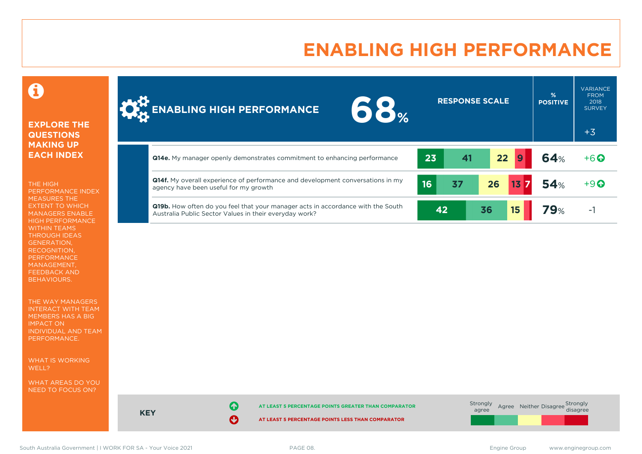### **ENABLING HIGH PERFORMANCE**



A

THE HIGH PERFORMANCE INDEX MEASURES THE EXTENT TO WHICH MANAGERS ENABLE HIGH PERFORMANCE WITHIN TEAMS THROUGH IDEAS GENERATION, RECOGNITION, PERFORMANCE MANAGEMENT, FEEDBACK AND BEHAVIOURS.

THE WAY MANAGERS INTERACT WITH TEAM MEMBERS HAS A BIG IMPACT ON INDIVIDUAL AND TEAM PERFORMANCE.

WHAT IS WORKING WFLL?

WHAT AREAS DO YOU NEED TO FOCUS ON?





South Australia Government | I WORK FOR SA - Your Voice 2021 **PAGE 08.** PAGE 08. Engine Group www.enginegroup.com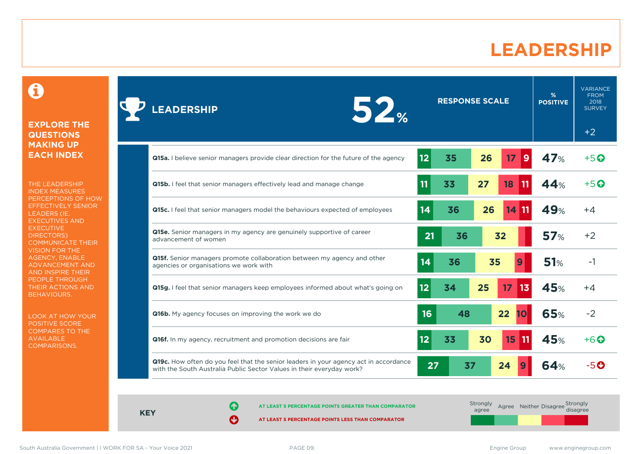### **LEADERSHIP**

 $\mathbf \Omega$ 

#### **EXPLORE THE QUESTIONS MAKING UP EACH INDEX**

THE LEADERSHIP INDEX MEASURES PERCEPTIONS OF HOW EFFECTIVELY SENIOR LEADERS (IE. EXECUTIVES AND **EXECUTIVE** DIRECTORS) COMMUNICATE THEIR VISION FOR THE AGENCY, ENABLE ADVANCEMENT AND AND INSPIRE THEIR PEOPLE THROUGH THEIR ACTIONS AND BEHAVIOURS.

LOOK AT HOW YOUR POSITIVE SCORE COMPARES TO THE AVAILABLE COMPARISONS.

| <b>RESPONSE SCALE</b><br>52%<br><b>LEADERSHIP</b>                                                                                                             |                 |    |    | %<br><b>POSITIVE</b> | <b>VARIANCE</b><br><b>FROM</b><br>2018<br><b>SURVEY</b> |               |
|---------------------------------------------------------------------------------------------------------------------------------------------------------------|-----------------|----|----|----------------------|---------------------------------------------------------|---------------|
|                                                                                                                                                               |                 |    |    |                      |                                                         | $+2$          |
| <b>Q15a.</b> I believe senior managers provide clear direction for the future of the agency                                                                   | 12 <sub>2</sub> | 35 | 26 | 17<br>9              | 47%                                                     | $+5$ $\odot$  |
| <b>Q15b.</b> I feel that senior managers effectively lead and manage change                                                                                   | 11              | 33 | 27 | 18<br>11             | 44%                                                     | $+5$ $\Omega$ |
| Q15c. I feel that senior managers model the behaviours expected of employees                                                                                  | 14              | 36 | 26 | 14                   | 49%                                                     | $+4$          |
| <b>Q15e.</b> Senior managers in my agency are genuinely supportive of career<br>advancement of women                                                          | 21              | 36 |    | 32                   | 57%                                                     | $+2$          |
| <b>Q15f.</b> Senior managers promote collaboration between my agency and other<br>agencies or organisations we work with                                      | 14              | 36 | 35 | 9                    | 51%                                                     | $-1$          |
| Q15g. I feel that senior managers keep employees informed about what's going on                                                                               | 12              | 34 | 25 | 17<br>13             | 45%                                                     | $+4$          |
| Q16b. My agency focuses on improving the work we do                                                                                                           | 16              | 48 |    | 22<br>10             | 65%                                                     | $-2$          |
| Q16f. In my agency, recruitment and promotion decisions are fair                                                                                              | 12              | 33 | 30 | 15<br>11             | 45%                                                     | $+6$ $\Omega$ |
| Q19c. How often do you feel that the senior leaders in your agency act in accordance<br>with the South Australia Public Sector Values in their everyday work? | 27              | 37 |    | 24<br>9              | 64%                                                     | -50           |

**KEY**

**AT LEAST 5 PERCENTAGE POINTS GREATER THAN COMPARATOR** 

**AT LEAST 5 PERCENTAGE POINTS LESS THAN COMPARATOR** 

| Strongly<br>agree | Agree Neither Disagree Strongly |  |
|-------------------|---------------------------------|--|
|                   |                                 |  |

South Australia Government | I WORK FOR SA - Your Voice 2021 **PAGE 09.** PAGE 09. Engine Group www.enginegroup.com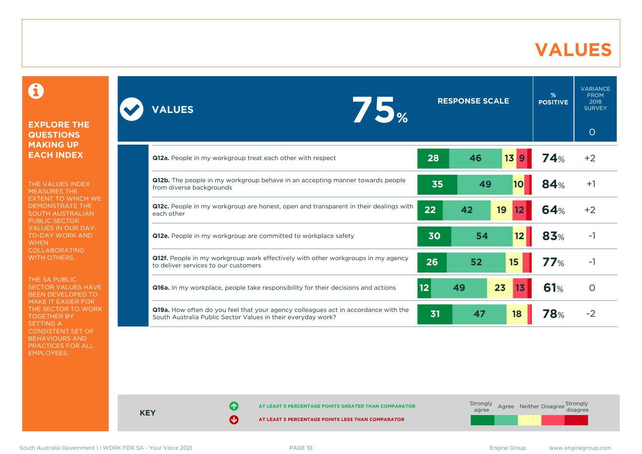## **VALUES**

#### 0

#### **EXPLORE THE QUESTIONS MAKING UP EACH INDEX**

THE VALUES INDEX MEASURES THE EXTENT TO WHICH WE DEMONSTRATE THE SOUTH AUSTRALIAN PUBLIC SECTOR VALUES IN OUR DAY-TO-DAY WORK AND **WHEN** COLLABORATING WITH OTHERS.

THE SA PUBLIC SECTOR VALUES HAVE BEEN DEVELOPED TO MAKE IT EASIER FOR THE SECTOR TO WORK TOGETHER BY SETTING A CONSISTENT SET OF BEHAVIOURS AND PRACTICES FOR ALL EMPLOYEES.

| 75%<br><b>VALUES</b>                                                                                                                               | <b>RESPONSE SCALE</b>       | $\frac{9}{6}$<br><b>POSITIVE</b> | <b>VARIANCE</b><br><b>FROM</b><br>2018<br><b>SURVEY</b><br>$\circ$ |
|----------------------------------------------------------------------------------------------------------------------------------------------------|-----------------------------|----------------------------------|--------------------------------------------------------------------|
| <b>Q12a.</b> People in my workgroup treat each other with respect                                                                                  | 46<br>13<br>28<br>9         | 74%                              | $+2$                                                               |
| <b>Q12b.</b> The people in my workgroup behave in an accepting manner towards people<br>from diverse backgrounds                                   | 35<br>49<br>10              | 84%                              | $+1$                                                               |
| Q12c. People in my workgroup are honest, open and transparent in their dealings with<br>each other                                                 | 22<br>42<br>19<br>12        | 64%                              | $+2$                                                               |
| Q12e. People in my workgroup are committed to workplace safety                                                                                     | 30<br>54<br>12 <sub>2</sub> | 83%                              | -1                                                                 |
| <b>Q12f.</b> People in my workgroup work effectively with other workgroups in my agency<br>to deliver services to our customers                    | 26<br>52<br>15              | 77%                              | $-1$                                                               |
| <b>Q16a.</b> In my workplace, people take responsibility for their decisions and actions                                                           | 12<br>23<br>49<br>13        | 61%                              | $\circ$                                                            |
| Q19a. How often do you feel that your agency colleagues act in accordance with the<br>South Australia Public Sector Values in their everyday work? | 31<br>47<br>18              | <b>78</b> %                      | $-2$                                                               |

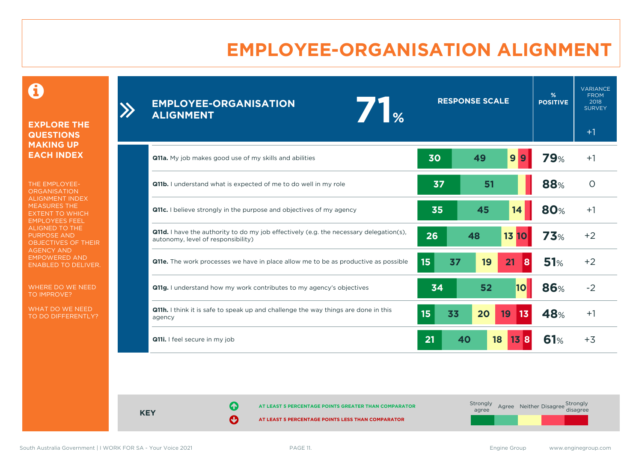# **EMPLOYEE-ORGANISATION ALIGNMENT**

0

**EXPLORE THE QUESTIONS MAKING UP EACH INDEX**

 $\sum_{i=1}^{n}$ 

THE EMPLOYEE-**ORGANISATION** ALIGNMENT INDEX MEASURES THE EXTENT TO WHICH EMPLOYEES FEEL ALIGNED TO THE PURPOSE AND OBJECTIVES OF THEIR AGENCY AND EMPOWERED AND ENABLED TO DELIVER.

WHERE DO WE NEED TO IMPROVE?

WHAT DO WE NEED TO DO DIFFERENTLY?

| <b>EMPLOYEE-ORGANISATION</b><br>$\mathbf{I}_{\infty}$<br><b>ALIGNMENT</b>                                                           |                  | <b>RESPONSE SCALE</b> |           |            | <b>VARIANCE</b><br><b>FROM</b><br>2018<br><b>SURVEY</b><br>$+1$ |
|-------------------------------------------------------------------------------------------------------------------------------------|------------------|-----------------------|-----------|------------|-----------------------------------------------------------------|
| <b>Q11a.</b> My job makes good use of my skills and abilities                                                                       | 30               | 49                    | 9 <br>9   | <b>79%</b> | $+1$                                                            |
| Q11b. I understand what is expected of me to do well in my role                                                                     | 37               | 51                    |           | 88%        | $\circ$                                                         |
| <b>Q11c.</b> I believe strongly in the purpose and objectives of my agency                                                          | 35               | 45                    | 14        | <b>80%</b> | $+1$                                                            |
| <b>Q11d.</b> I have the authority to do my job effectively (e.g. the necessary delegation(s),<br>autonomy, level of responsibility) | 26               | 48                    | 13 10     | 73%        | $+2$                                                            |
| <b>Q11e.</b> The work processes we have in place allow me to be as productive as possible                                           | 15 <sub>15</sub> | 37<br>19              | 21<br>8   | 51%        | $+2$                                                            |
| <b>Q11g.</b> I understand how my work contributes to my agency's objectives                                                         | 34               | 52                    | <b>10</b> | <b>86%</b> | $-2$                                                            |
| <b>Q11h.</b> I think it is safe to speak up and challenge the way things are done in this<br>agency                                 | 15               | 33<br>20              | 13<br>19  | 48%        | $+1$                                                            |
| Q11i. I feel secure in my job                                                                                                       | 21               | 40                    | 18<br>15B | 61%        | $+3$                                                            |

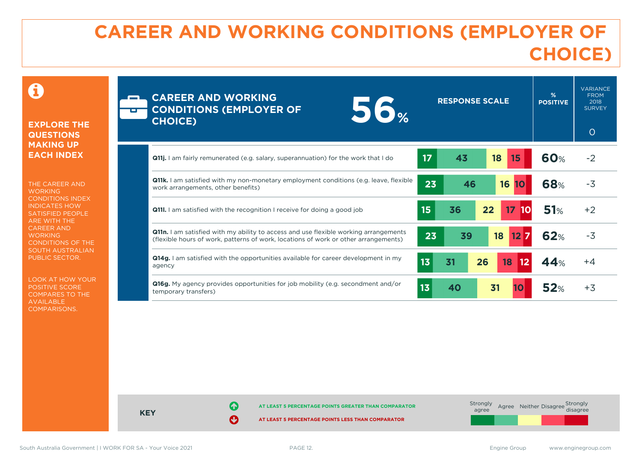# **CAREER AND WORKING CONDITIONS (EMPLOYER OF CHOICE)**

#### 0

#### **EXPLORE THE QUESTIONS MAKING UP EACH INDEX**

THE CAREER AND **WORKING** CONDITIONS INDEX INDICATES HOW SATISFIED PEOPLE ARE WITH THE CAREER AND **WORKING** CONDITIONS OF THE SOUTH AUSTRALIAN PUBLIC SECTOR.

LOOK AT HOW YOUR POSITIVE SCORE COMPARES TO THE AVAILABLE COMPARISONS.

| <b>E</b> | <b>CAREER AND WORKING</b><br><b>56</b> %<br><b>CONDITIONS (EMPLOYER OF</b><br><b>CHOICE)</b>                                                                                       |                 | <b>RESPONSE SCALE</b> | %<br><b>POSITIVE</b> | <b>VARIANCE</b><br><b>FROM</b><br>2018<br><b>SURVEY</b><br>$\circ$ |
|----------|------------------------------------------------------------------------------------------------------------------------------------------------------------------------------------|-----------------|-----------------------|----------------------|--------------------------------------------------------------------|
|          | <b>Q11j.</b> I am fairly remunerated (e.g. salary, superannuation) for the work that I do                                                                                          | 17 <sup>2</sup> | 43<br>18<br>15        | <b>60%</b>           | $-2$                                                               |
|          | <b>Q11k.</b> I am satisfied with my non-monetary employment conditions (e.g. leave, flexible<br>work arrangements, other benefits)                                                 | 23              | 16<br>46<br><b>10</b> | 68%                  | $-3$                                                               |
|          | <b>Q11l.</b> I am satisfied with the recognition I receive for doing a good job                                                                                                    | 15              | 36<br>17<br>22<br>10  | 51%                  | $+2$                                                               |
|          | <b>Q11n.</b> I am satisfied with my ability to access and use flexible working arrangements<br>(flexible hours of work, patterns of work, locations of work or other arrangements) | 23              | 39<br>18<br>127       | <b>62%</b>           | $-3$                                                               |
|          | <b>Q14g.</b> I am satisfied with the opportunities available for career development in my<br>agency                                                                                | 1 <sub>3</sub>  | 26<br>31<br>18<br>12  | 44%                  | $+4$                                                               |
|          | <b>Q16g.</b> My agency provides opportunities for job mobility (e.g. secondment and/or<br>temporary transfers)                                                                     | 13              | 31<br>40<br>10        | 52%                  | $+3$                                                               |



**KEY**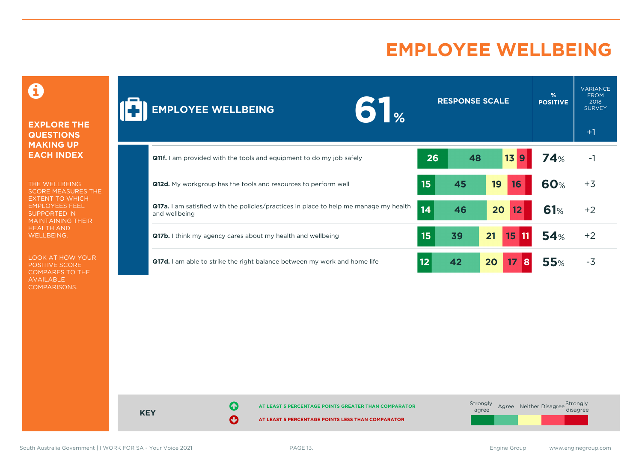## **EMPLOYEE WELLBEING**

0

#### **EXPLORE THE QUESTIONS MAKING UP EACH INDEX**

THE WELLBEING SCORE MEASURES THE EXTENT TO WHICH EMPLOYEES FEEL SUPPORTED IN MAINTAINING THEIR HEALTH AND WELLBEING.

LOOK AT HOW YOUR POSITIVE SCORE COMPARES TO THE AVAILABLE COMPARISONS.

| <b>EMPLOYEE WELLBEING</b><br>$\sqrt{2}$                                                                       |    | <b>RESPONSE SCALE</b> |                      | %<br><b>POSITIVE</b> | <b>VARIANCE</b><br><b>FROM</b><br>2018<br><b>SURVEY</b><br>$+1$ |
|---------------------------------------------------------------------------------------------------------------|----|-----------------------|----------------------|----------------------|-----------------------------------------------------------------|
| <b>Q11f.</b> I am provided with the tools and equipment to do my job safely                                   | 26 | 48                    | 13<br>$\overline{9}$ | 74%                  | $-1$                                                            |
| <b>Q12d.</b> My workgroup has the tools and resources to perform well                                         | 15 | 45                    | 19<br>16             | <b>60%</b>           | $+3$                                                            |
| <b>Q17a.</b> I am satisfied with the policies/practices in place to help me manage my health<br>and wellbeing | 14 | 46                    | 20<br>12             | 61%                  | $+2$                                                            |
| Q17b. I think my agency cares about my health and wellbeing                                                   | 15 | 39                    | 21<br>15<br>  11     | 54%                  | $+2$                                                            |
| <b>Q17d.</b> I am able to strike the right balance between my work and home life                              | 12 | 42                    | 20<br>17<br>8        | 55%                  | $-3$                                                            |

**AT LEAST 5 PERCENTAGE POINTS GREATER THAN COMPARATOR AT LEAST 5 PERCENTAGE POINTS LESS THAN COMPARATOR** Strongly agree Agree Neither Disagree Strongly<br>disagree

South Australia Government | I WORK FOR SA - Your Voice 2021 **PAGE 13.** PAGE 13. engine Croup www.enginegroup.com

**KEY**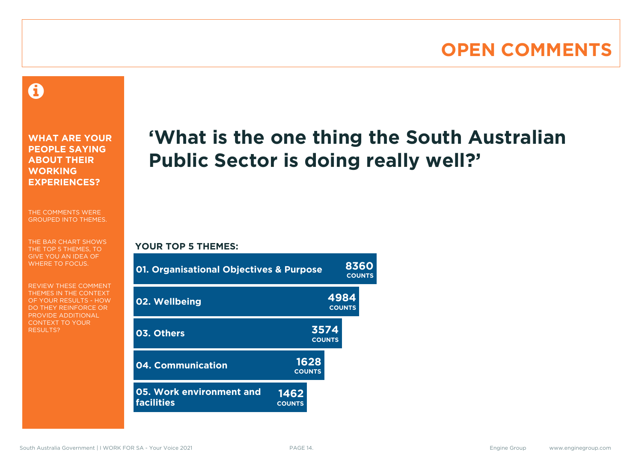#### **OPEN COMMENTS**

#### 0

**WHAT ARE YOUR PEOPLE SAYING ABOUT THEIR WORKING EXPERIENCES?**

THE COMMENTS WERE GROUPED INTO THEMES.

THE BAR CHART SHOWS THE TOP 5 THEMES, TO GIVE YOU AN IDEA OF WHERE TO FOCUS.

REVIEW THESE COMMENT THEMES IN THE CONTEXT OF YOUR RESULTS - HOW DO THEY REINFORCE OR PROVIDE ADDITIONAL CONTEXT TO YOUR **RESULTS?** 

# **'What is the one thing the South Australian Public Sector is doing really well?'**

#### **YOUR TOP 5 THEMES:**

| <b>01. Organisational Objectives &amp; Purpose</b> |                       | 8360<br><b>COUNTS</b> |  |  |
|----------------------------------------------------|-----------------------|-----------------------|--|--|
| 02. Wellbeing                                      |                       | 4984<br><b>COUNTS</b> |  |  |
| 03. Others                                         |                       | 3574<br><b>COUNTS</b> |  |  |
| 04. Communication                                  | 1628<br><b>COUNTS</b> |                       |  |  |
| 05. Work environment and<br><b>facilities</b>      | 1462<br><b>COUNTS</b> |                       |  |  |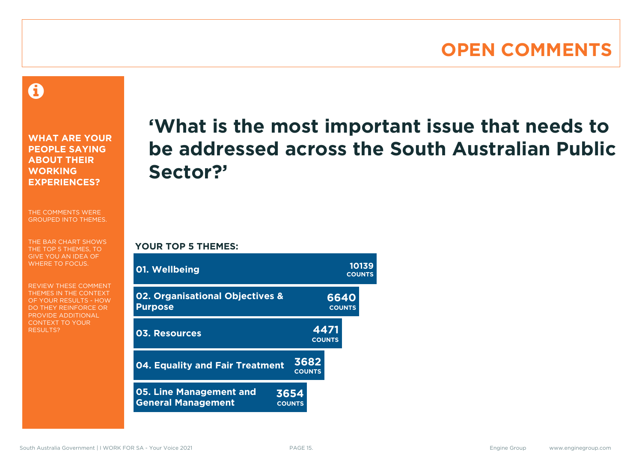#### **OPEN COMMENTS**

A

**WHAT ARE YOUR PEOPLE SAYING ABOUT THEIR WORKING EXPERIENCES?**

THE COMMENTS WERE GROUPED INTO THEMES.

THE BAR CHART SHOWS THE TOP 5 THEMES, TO GIVE YOU AN IDEA OF WHERE TO FOCUS.

REVIEW THESE COMMENT THEMES IN THE CONTEXT OF YOUR RESULTS - HOW DO THEY REINFORCE OR PROVIDE ADDITIONAL CONTEXT TO YOUR **RESULTS?** 

# **'What is the most important issue that needs to be addressed across the South Australian Public Sector?'**

**YOUR TOP 5 THEMES:**

| 01. Wellbeing                                               |                       |                       |                       |               | 10139<br><b>COUNTS</b> |
|-------------------------------------------------------------|-----------------------|-----------------------|-----------------------|---------------|------------------------|
| 02. Organisational Objectives &<br><b>Purpose</b>           |                       |                       | 6640                  | <b>COUNTS</b> |                        |
| 03. Resources                                               |                       |                       | 4471<br><b>COUNTS</b> |               |                        |
| 04. Equality and Fair Treatment                             |                       | 3682<br><b>COUNTS</b> |                       |               |                        |
| <b>05. Line Management and</b><br><b>General Management</b> | 3654<br><b>COUNTS</b> |                       |                       |               |                        |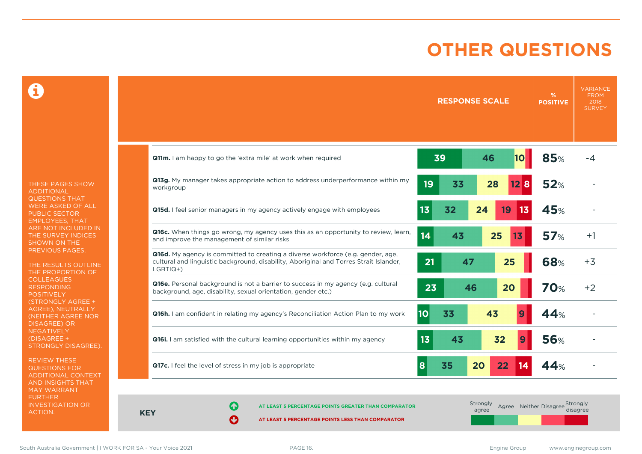### **OTHER QUESTIONS**

0

THESE PAGES SHOW ADDITIONAL QUESTIONS THAT WERE ASKED OF ALL PUBLIC SECTOR EMPLOYEES, THAT ARE NOT INCLUDED IN THE SURVEY INDICES SHOWN ON THE PREVIOUS PAGES.

THE RESULTS OUTLINE THE PROPORTION OF COLLEAGUES RESPONDING POSITIVELY (STRONGLY AGREE + AGREE), NEUTRALLY (NEITHER AGREE NOR **NEGATIVELY** (DISAGREE + STRONGLY DISAGREE).

REVIEW THESE QUESTIONS FOR ADDITIONAL CONTEXT AND INSIGHTS THAT MAY WARRANT FURTHER INVESTIGATION OR ACTION.

|                                                                                                                                                                                              | <b>RESPONSE SCALE</b>      | <b>VARIANCE</b><br>%<br><b>FROM</b><br>2018<br><b>POSITIVE</b><br><b>SURVEY</b> |
|----------------------------------------------------------------------------------------------------------------------------------------------------------------------------------------------|----------------------------|---------------------------------------------------------------------------------|
| Q11m. I am happy to go the 'extra mile' at work when required                                                                                                                                | 39<br>46<br>10             | 85%<br>-4                                                                       |
| Q13g. My manager takes appropriate action to address underperformance within my<br>workgroup                                                                                                 | 19<br>33<br>28<br>12B      | 52%                                                                             |
| <b>Q15d.</b> I feel senior managers in my agency actively engage with employees                                                                                                              | 13<br>32<br>19<br>13<br>24 | 45%                                                                             |
| <b>Q16c.</b> When things go wrong, my agency uses this as an opportunity to review, learn,<br>and improve the management of similar risks                                                    | 14<br>25<br>43<br>13       | 57%<br>$+1$                                                                     |
| <b>Q16d.</b> My agency is committed to creating a diverse workforce (e.g. gender, age,<br>cultural and linguistic background, disability, Aboriginal and Torres Strait Islander,<br>LGBTIQ+) | 25<br>21<br>47             | <b>68%</b><br>$+3$                                                              |
| Q16e. Personal background is not a barrier to success in my agency (e.g. cultural<br>background, age, disability, sexual orientation, gender etc.)                                           | 23<br>46<br>20             | <b>70%</b><br>$+2$                                                              |
| Q16h. I am confident in relating my agency's Reconciliation Action Plan to my work                                                                                                           | 10<br>43<br>33             | 44%                                                                             |
| <b>Q16i.</b> I am satisfied with the cultural learning opportunities within my agency                                                                                                        | 13<br>32<br>43             | <b>56%</b>                                                                      |
| Q17c. I feel the level of stress in my job is appropriate                                                                                                                                    | 35<br>20<br>22<br>8<br>14  | 44%                                                                             |

**KEY**

**AT LEAST 5 PERCENTAGE POINTS GREATER THAN COMPARATOR** 

**AT LEAST 5 PERCENTAGE POINTS LESS THAN COMPARATOR** 

Strongly agree Agree Neither Disagree Strongly<br>disagree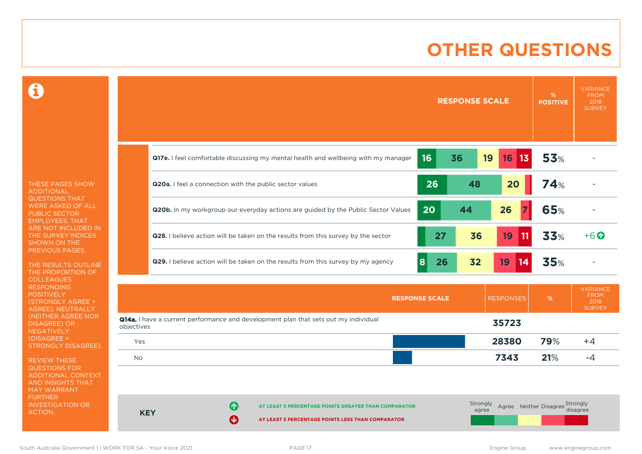### **OTHER QUESTIONS**

0

THESE PAGES SHOW ADDITIONAL QUESTIONS THAT WERE ASKED OF ALL PUBLIC SECTOR EMPLOYEES, THAT ARE NOT INCLUDED IN THE SURVEY INDICES SHOWN ON THE PREVIOUS PAGES.

THE RESULTS OUTLINE THE PROPORTION OF COLLEAGUES RESPONDING POSITIVELY (STRONGLY AGREE + AGREE), NEUTRALLY (NEITHER AGREE NOR DISAGREE) OR **NEGATIVELY** (DISAGREE + STRONGLY DISAGREE).

REVIEW THESE QUESTIONS FOR ADDITIONAL CONTEXT AND INSIGHTS THAT MAY WARRANT FURTHER INVESTIGATION OR ACTION.

|                                                                                          |         | <b>RESPONSE SCALE</b> |    |                    | $\frac{9}{6}$<br><b>POSITIVE</b> | <b>VARIANCE</b><br><b>FROM</b><br>2018<br><b>SURVEY</b> |
|------------------------------------------------------------------------------------------|---------|-----------------------|----|--------------------|----------------------------------|---------------------------------------------------------|
| Q17e. I feel comfortable discussing my mental health and wellbeing with my manager       | 16      | 36                    | 19 | 16 13              | 53%                              |                                                         |
| <b>Q20a.</b> I feel a connection with the public sector values                           | 26      | 48                    |    | 20                 | 74%                              |                                                         |
| <b>Q20b.</b> In my workgroup our everyday actions are guided by the Public Sector Values | 20      | 44                    | 26 |                    | 65%                              |                                                         |
| Q28. I believe action will be taken on the results from this survey by the sector        | 27      | 36                    |    | 19<br>$ 11\rangle$ | 33%                              | $+6$ $\odot$                                            |
| <b>Q29.</b> I believe action will be taken on the results from this survey by my agency  | 8<br>26 | 32                    | 19 | 14                 | 35%                              |                                                         |

|                                                                                                          | <b>RESPONSE SCALE</b> | <b>RESPONSES</b> | %   | <b>VARIANCE</b><br><b>FROM</b><br>2018<br><b>SURVEY</b> |
|----------------------------------------------------------------------------------------------------------|-----------------------|------------------|-----|---------------------------------------------------------|
| <b>Q14a.</b> I have a current performance and development plan that sets out my individual<br>objectives |                       | 35723            |     |                                                         |
| Yes                                                                                                      |                       | 28380            | 79% | $+4$                                                    |
| <b>No</b>                                                                                                |                       | 7343             | 21% | -4                                                      |

**KEY AT LEAST 5 PERCENTAGE POINTS GREATER THAN COMPARATOR AT LEAST 5 PERCENTAGE POINTS LESS THAN COMPARATOR** Strongly agree Agree Neither Disagree Strongly<br>disagree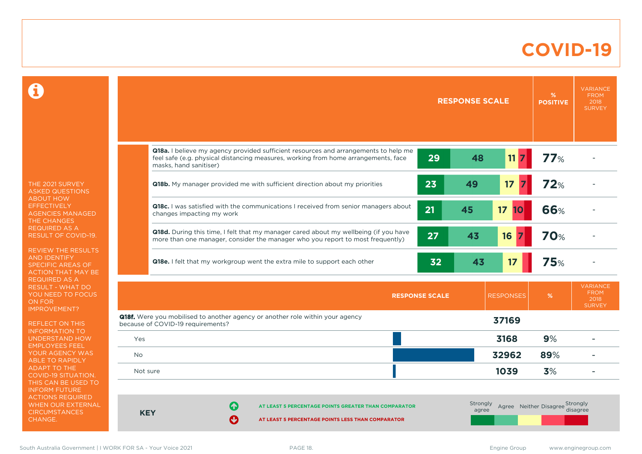#### **COVID-19**

 $\mathbf \Omega$ 

THE 2021 SURVEY ASKED QUESTIONS ABOUT HOW **EFFECTIVELY** AGENCIES MANAGED THE CHANGES REQUIRED AS A RESULT OF COVID-19.

REVIEW THE RESULTS AND IDENTIFY SPECIFIC AREAS OF ACTION THAT MAY BE REQUIRED AS A RESULT - WHAT DO YOU NEED TO FOCUS ON FOR IMPROVEMENT?

REFLECT ON THIS INFORMATION TO UNDERSTAND HOW EMPLOYEES FEEL YOUR AGENCY WAS ABLE TO RAPIDLY ADAPT TO THE COVID-19 SITUATION. THIS CAN BE USED TO INFORM FUTURE ACTIONS REQUIRED WHEN OUR EXTERNAL **CIRCUMSTANCES** CHANGE.

|            |                                                                                                                                                                                                     |                       | <b>RESPONSE SCALE</b>    |                  | %<br><b>POSITIVE</b>            | <b>VARIANCE</b><br><b>FROM</b><br>2018<br><b>SURVEY</b> |
|------------|-----------------------------------------------------------------------------------------------------------------------------------------------------------------------------------------------------|-----------------------|--------------------------|------------------|---------------------------------|---------------------------------------------------------|
|            | Q18a. I believe my agency provided sufficient resources and arrangements to help me<br>feel safe (e.g. physical distancing measures, working from home arrangements, face<br>masks, hand sanitiser) | 29                    | 48                       | 11               | 77%                             |                                                         |
|            | Q18b. My manager provided me with sufficient direction about my priorities                                                                                                                          | 23                    | 49                       | 17               | 72%                             |                                                         |
|            | Q18c. I was satisfied with the communications I received from senior managers about<br>changes impacting my work                                                                                    | 21                    | 45                       | 17<br>10         | 66%                             |                                                         |
|            | Q18d. During this time, I felt that my manager cared about my wellbeing (if you have<br>more than one manager, consider the manager who you report to most frequently)                              | 27                    | 43                       | 16               | <b>70%</b>                      |                                                         |
|            | Q18e. I felt that my workgroup went the extra mile to support each other                                                                                                                            | 32                    | 43                       | 17               | <b>75%</b>                      |                                                         |
|            |                                                                                                                                                                                                     | <b>RESPONSE SCALE</b> |                          | <b>RESPONSES</b> | %                               | <b>VARIANCE</b><br><b>FROM</b><br>2018<br><b>SURVEY</b> |
|            | Q18f. Were you mobilised to another agency or another role within your agency<br>because of COVID-19 requirements?                                                                                  |                       |                          | 37169            |                                 |                                                         |
| Yes        |                                                                                                                                                                                                     |                       |                          | 3168             | 9%                              |                                                         |
| <b>No</b>  |                                                                                                                                                                                                     |                       |                          | 32962            | 89%                             |                                                         |
| Not sure   |                                                                                                                                                                                                     |                       |                          | 1039             | 3%                              |                                                         |
| <b>KEY</b> | 61<br>AT LEAST 5 PERCENTAGE POINTS GREATER THAN COMPARATOR<br>Ø<br>AT LEAST 5 PERCENTAGE POINTS LESS THAN COMPARATOR                                                                                |                       | <b>Strongly</b><br>agree |                  | Agree Neither Disagree Strongly | disagree                                                |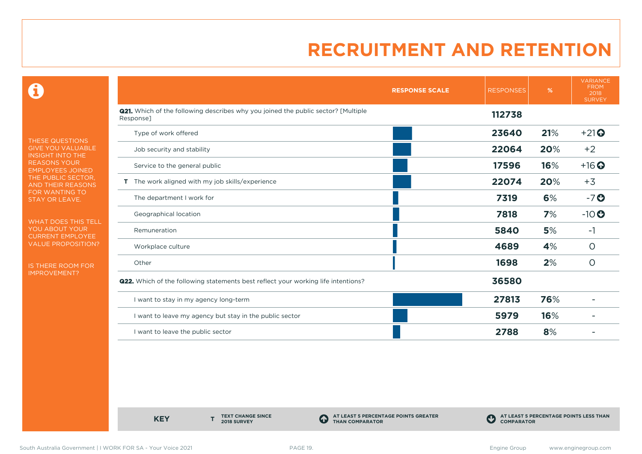0

THESE QUESTIONS GIVE YOU VALUABLE INSIGHT INTO THE REASONS YOUR EMPLOYEES JOINED THE PUBLIC SECTOR, AND THEIR REASONS FOR WANTING TO STAY OR LEAVE.

WHAT DOES THIS TELL YOU ABOUT YOUR CURRENT EMPLOYEE VALUE PROPOSITION?

IS THERE ROOM FOR IMPROVEMENT?

|                                                                                                       | <b>RESPONSE SCALE</b> | <b>RESPONSES</b> | %   | <b>VARIANCE</b><br><b>FROM</b><br>2018<br><b>SURVEY</b> |
|-------------------------------------------------------------------------------------------------------|-----------------------|------------------|-----|---------------------------------------------------------|
| <b>Q21.</b> Which of the following describes why you joined the public sector? [Multiple<br>Response] |                       | 112738           |     |                                                         |
| Type of work offered                                                                                  |                       | 23640            | 21% | $+21$                                                   |
| Job security and stability                                                                            |                       | 22064            | 20% | $+2$                                                    |
| Service to the general public                                                                         |                       | 17596            | 16% | $+16$ <sup>O</sup>                                      |
| T The work aligned with my job skills/experience                                                      |                       | 22074            | 20% | $+3$                                                    |
| The department I work for                                                                             |                       | 7319             | 6%  | $-7o$                                                   |
| Geographical location                                                                                 |                       | 7818             | 7%  | $-10$                                                   |
| Remuneration                                                                                          |                       | 5840             | 5%  | $-1$                                                    |
| Workplace culture                                                                                     |                       | 4689             | 4%  | $\circ$                                                 |
| Other                                                                                                 |                       | 1698             | 2%  | $\circ$                                                 |
| <b>Q22.</b> Which of the following statements best reflect your working life intentions?              |                       | 36580            |     |                                                         |
| I want to stay in my agency long-term                                                                 |                       | 27813            | 76% |                                                         |
| I want to leave my agency but stay in the public sector                                               |                       | 5979             | 16% |                                                         |
| I want to leave the public sector                                                                     |                       | 2788             | 8%  |                                                         |

**KEY** 

**TEXT CHANGE SINCE 2018 SURVEY**

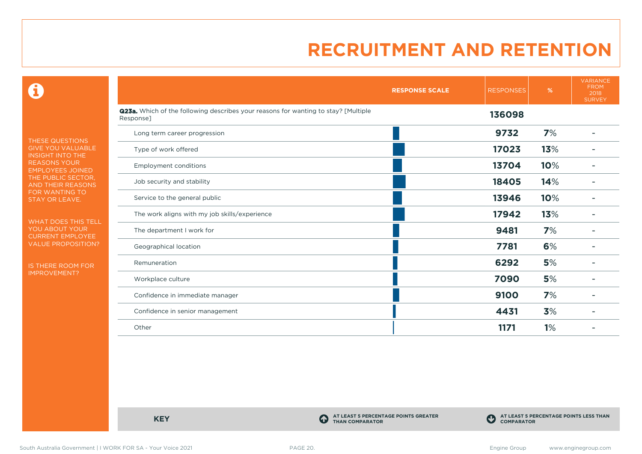$\mathbf \Theta$ 

THESE QUESTIONS GIVE YOU VALUABLE INSIGHT INTO THE REASONS YOUR EMPLOYEES JOINED THE PUBLIC SECTOR, AND THEIR REASONS FOR WANTING TO STAY OR LEAVE.

WHAT DOES THIS TELL YOU ABOUT YOUR CURRENT EMPLOYEE VALUE PROPOSITION?

IS THERE ROOM FOR IMPROVEMENT?

|                                                                                                 | <b>RESPONSE SCALE</b> | <b>RESPONSES</b> | %   | <b>VARIANCE</b><br><b>FROM</b><br>2018<br><b>SURVEY</b> |
|-------------------------------------------------------------------------------------------------|-----------------------|------------------|-----|---------------------------------------------------------|
| Q23a. Which of the following describes your reasons for wanting to stay? [Multiple<br>Response] |                       | 136098           |     |                                                         |
| Long term career progression                                                                    |                       | 9732             | 7%  |                                                         |
| Type of work offered                                                                            |                       | 17023            | 13% |                                                         |
| <b>Employment conditions</b>                                                                    |                       | 13704            | 10% |                                                         |
| Job security and stability                                                                      |                       | 18405            | 14% |                                                         |
| Service to the general public                                                                   |                       | 13946            | 10% |                                                         |
| The work aligns with my job skills/experience                                                   |                       | 17942            | 13% |                                                         |
| The department I work for                                                                       |                       | 9481             | 7%  |                                                         |
| Geographical location                                                                           |                       | 7781             | 6%  |                                                         |
| Remuneration                                                                                    |                       | 6292             | 5%  |                                                         |
| Workplace culture                                                                               |                       | 7090             | 5%  |                                                         |
| Confidence in immediate manager                                                                 |                       | 9100             | 7%  |                                                         |
| Confidence in senior management                                                                 |                       | 4431             | 3%  |                                                         |
| Other                                                                                           |                       | 1171             | 1%  |                                                         |

**KEY C** 

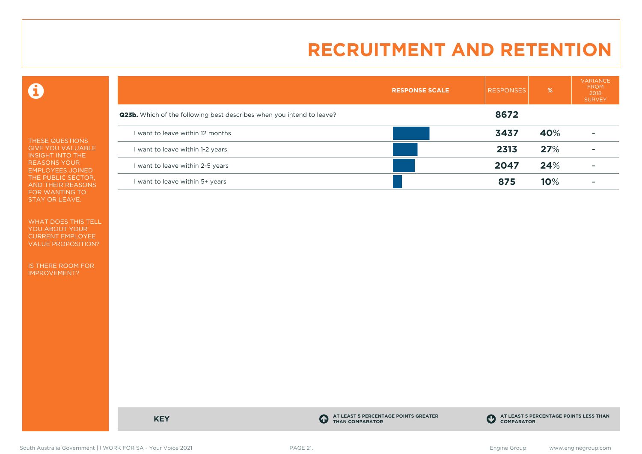$\mathbf \Theta$ 

THESE QUESTIONS GIVE YOU VALUABLE INSIGHT INTO THE REASONS YOUR EMPLOYEES JOINED THE PUBLIC SECTOR, AND THEIR REASONS FOR WANTING TO STAY OR LEAVE.

WHAT DOES THIS TELL YOU ABOUT YOUR CURRENT EMPLOYEE VALUE PROPOSITION?

IS THERE ROOM FOR IMPROVEMENT?

|                                                                              | <b>RESPONSE SCALE</b> | <b>RESPONSES</b> | %   | <b>VARIANCE</b><br><b>FROM</b><br>2018<br><b>SURVEY</b> |
|------------------------------------------------------------------------------|-----------------------|------------------|-----|---------------------------------------------------------|
| <b>Q23b.</b> Which of the following best describes when you intend to leave? |                       | 8672             |     |                                                         |
| I want to leave within 12 months                                             |                       | 3437             | 40% |                                                         |
| I want to leave within 1-2 years                                             |                       | 2313             | 27% |                                                         |
| I want to leave within 2-5 years                                             |                       | 2047             | 24% |                                                         |
| I want to leave within 5+ years                                              |                       | 875              | 10% |                                                         |

**KEY C** 

**AT LEAST 5 PERCENTAGE POINTS GREATER THAN COMPARATOR**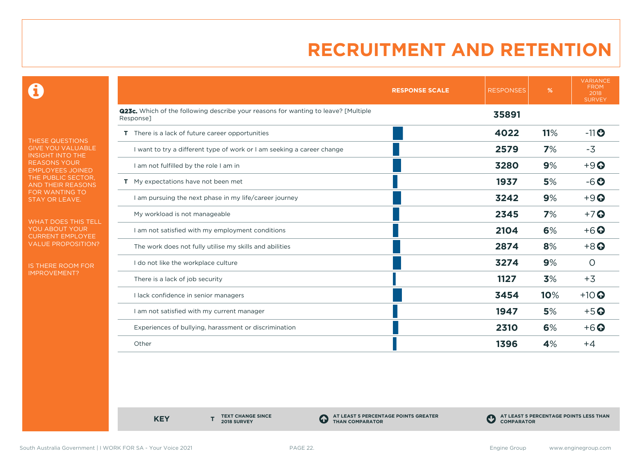0

THESE QUESTIONS GIVE YOU VALUABLE INSIGHT INTO THE **REASONS YOUR** EMPLOYEES JOINED THE PUBLIC SECTOR, AND THEIR REASONS FOR WANTING TO STAY OR LEAVE.

WHAT DOES THIS TELL YOU ABOUT YOUR CURRENT EMPLOYEE VALUE PROPOSITION?

IS THERE ROOM FOR IMPROVEMENT?

|                                                                                                        | <b>RESPONSES</b><br><b>RESPONSE SCALE</b> | %   | <b>VARIANCE</b><br><b>FROM</b><br>2018<br><b>SURVEY</b> |
|--------------------------------------------------------------------------------------------------------|-------------------------------------------|-----|---------------------------------------------------------|
| <b>Q23c.</b> Which of the following describe your reasons for wanting to leave? [Multiple<br>Response] | 35891                                     |     |                                                         |
| <b>T</b> There is a lack of future career opportunities                                                | 4022                                      | 11% | $-11$ $\odot$                                           |
| I want to try a different type of work or I am seeking a career change                                 | 2579                                      | 7%  | $-3$                                                    |
| I am not fulfilled by the role I am in                                                                 | 3280                                      | 9%  | $+9$                                                    |
| T My expectations have not been met                                                                    | 1937                                      | 5%  | $-6o$                                                   |
| I am pursuing the next phase in my life/career journey                                                 | 3242                                      | 9%  | $+9$                                                    |
| My workload is not manageable                                                                          | 2345                                      | 7%  | $+7$ $\odot$                                            |
| I am not satisfied with my employment conditions                                                       | 2104                                      | 6%  | $+6$ $\odot$                                            |
| The work does not fully utilise my skills and abilities                                                | 2874                                      | 8%  | $+8$ <sup>O</sup>                                       |
| I do not like the workplace culture                                                                    | 3274                                      | 9%  | $\circ$                                                 |
| There is a lack of job security                                                                        | 1127                                      | 3%  | $+3$                                                    |
| I lack confidence in senior managers                                                                   | 3454                                      | 10% | $+10$ $\odot$                                           |
| I am not satisfied with my current manager                                                             | 1947                                      | 5%  | $+5$ <sup>O</sup>                                       |
| Experiences of bullying, harassment or discrimination                                                  | 2310                                      | 6%  | $+6$ $\odot$                                            |
| Other                                                                                                  | 1396                                      | 4%  | $+4$                                                    |

**KEY** 

**TEXT CHANGE SINCE 2018 SURVEY**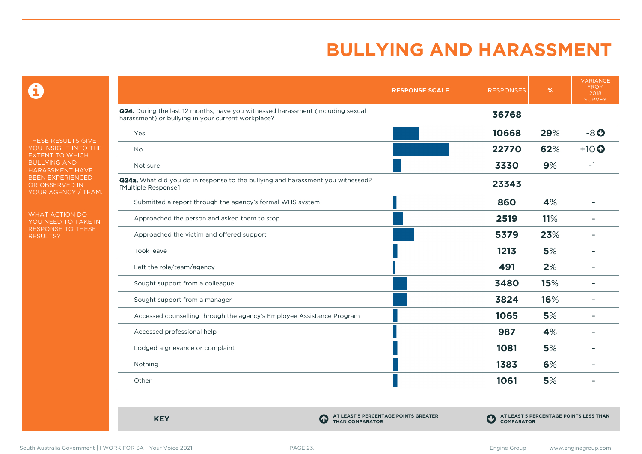$\mathbf \Omega$ 

THESE RESULTS GIVE YOU INSIGHT INTO THE EXTENT TO WHICH BULLYING AND HARASSMENT HAVE BEEN EXPERIENCED OR OBSERVED IN YOUR AGENCY / TEAM.

WHAT ACTION DO YOU NEED TO TAKE IN RESPONSE TO THESE RESULTS?

|                                                                                                                                       | <b>RESPONSE SCALE</b> | <b>RESPONSES</b> | $\%$ | <b>VARIANCE</b><br><b>FROM</b><br>2018<br><b>SURVEY</b> |
|---------------------------------------------------------------------------------------------------------------------------------------|-----------------------|------------------|------|---------------------------------------------------------|
| Q24. During the last 12 months, have you witnessed harassment (including sexual<br>harassment) or bullying in your current workplace? |                       | 36768            |      |                                                         |
| Yes                                                                                                                                   |                       | 10668            | 29%  | $-8o$                                                   |
| <b>No</b>                                                                                                                             |                       | 22770            | 62%  | $+10$ $\odot$                                           |
| Not sure                                                                                                                              |                       | 3330             | 9%   | $-1$                                                    |
| Q24a. What did you do in response to the bullying and harassment you witnessed?<br>[Multiple Response]                                |                       | 23343            |      |                                                         |
| Submitted a report through the agency's formal WHS system                                                                             |                       | 860              | 4%   |                                                         |
| Approached the person and asked them to stop                                                                                          |                       | 2519             | 11%  |                                                         |
| Approached the victim and offered support                                                                                             |                       | 5379             | 23%  |                                                         |
| Took leave                                                                                                                            |                       | 1213             | 5%   |                                                         |
| Left the role/team/agency                                                                                                             |                       | 491              | 2%   |                                                         |
| Sought support from a colleague                                                                                                       |                       | 3480             | 15%  |                                                         |
| Sought support from a manager                                                                                                         |                       | 3824             | 16%  |                                                         |
| Accessed counselling through the agency's Employee Assistance Program                                                                 |                       | 1065             | 5%   |                                                         |
| Accessed professional help                                                                                                            |                       | 987              | 4%   | $\overline{\phantom{a}}$                                |
| Lodged a grievance or complaint                                                                                                       |                       | 1081             | 5%   |                                                         |
| Nothing                                                                                                                               |                       | 1383             | 6%   |                                                         |
| Other                                                                                                                                 |                       | 1061             | 5%   |                                                         |

**KEY C** 

**AT LEAST 5 PERCENTAGE POINTS GREATER THAN COMPARATOR**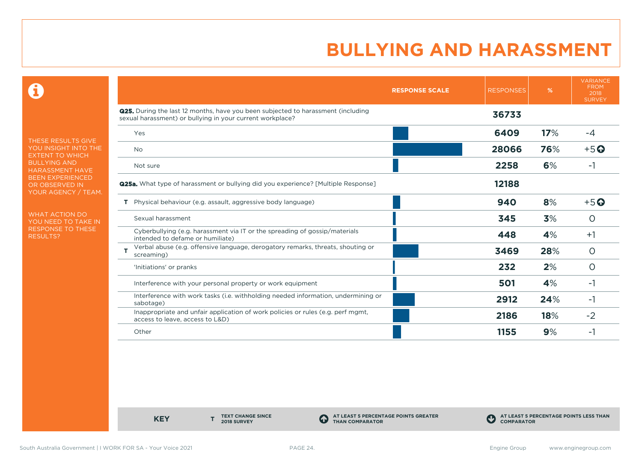$\mathbf \Theta$ 

THESE RESULTS GIVE YOU INSIGHT INTO THE EXTENT TO WHICH BULLYING AND HARASSMENT HAVE BEEN EXPERIENCED OR OBSERVED IN YOUR AGENCY / TEAM.

WHAT ACTION DO YOU NEED TO TAKE IN RESPONSE TO THESE RESULTS?

|                                                                                                                                                      | <b>RESPONSE SCALE</b> | <b>RESPONSES</b> | %   | <b>VARIANCE</b><br><b>FROM</b><br>2018<br><b>SURVEY</b> |
|------------------------------------------------------------------------------------------------------------------------------------------------------|-----------------------|------------------|-----|---------------------------------------------------------|
| <b>Q25.</b> During the last 12 months, have you been subjected to harassment (including<br>sexual harassment) or bullying in your current workplace? |                       | 36733            |     |                                                         |
| Yes                                                                                                                                                  |                       | 6409             | 17% | -4                                                      |
| <b>No</b>                                                                                                                                            |                       | 28066            | 76% | $+5$ $\odot$                                            |
| Not sure                                                                                                                                             |                       | 2258             | 6%  | $-1$                                                    |
| <b>Q25a.</b> What type of harassment or bullying did you experience? [Multiple Response]                                                             |                       | 12188            |     |                                                         |
| Physical behaviour (e.g. assault, aggressive body language)<br>Τ.                                                                                    |                       | 940              | 8%  | $+5$ <sup>O</sup>                                       |
| Sexual harassment                                                                                                                                    |                       | 345              | 3%  | O                                                       |
| Cyberbullying (e.g. harassment via IT or the spreading of gossip/materials<br>intended to defame or humiliate)                                       |                       | 448              | 4%  | $+1$                                                    |
| Verbal abuse (e.g. offensive language, derogatory remarks, threats, shouting or<br>т<br>screaming)                                                   |                       | 3469             | 28% | $\circ$                                                 |
| 'Initiations' or pranks                                                                                                                              |                       | 232              | 2%  | $\circ$                                                 |
| Interference with your personal property or work equipment                                                                                           |                       | 501              | 4%  | -1                                                      |
| Interference with work tasks (i.e. withholding needed information, undermining or<br>sabotage)                                                       |                       | 2912             | 24% | -1                                                      |
| Inappropriate and unfair application of work policies or rules (e.g. perf mgmt,<br>access to leave, access to L&D)                                   |                       | 2186             | 18% | $-2$                                                    |
| Other                                                                                                                                                |                       | 1155             | 9%  | -1                                                      |

**KEY** 

**TEXT CHANGE SINCE 2018 SURVEY**

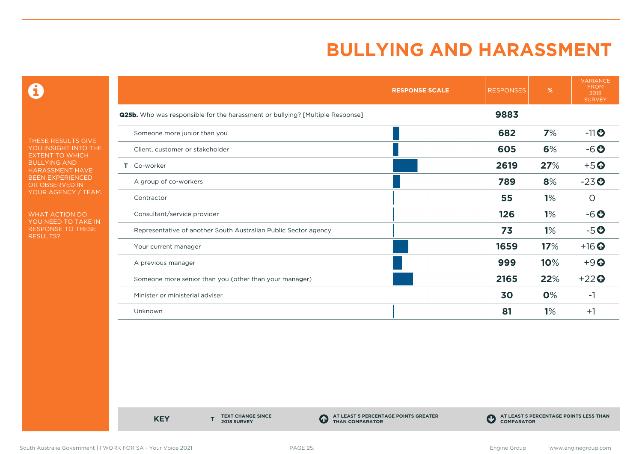0

THESE RESULTS GIVE YOU INSIGHT INTO THE EXTENT TO WHICH BULLYING AND HARASSMENT HAVE BEEN EXPERIENCED OR OBSERVED IN YOUR AGENCY / TEAM.

WHAT ACTION DO YOU NEED TO TAKE IN RESPONSE TO THESE RESULTS?

|                                                                                      | <b>RESPONSE SCALE</b> | <b>RESPONSES</b> | %   | <b>VARIANCE</b><br><b>FROM</b><br>2018<br><b>SURVEY</b> |
|--------------------------------------------------------------------------------------|-----------------------|------------------|-----|---------------------------------------------------------|
| <b>Q25b.</b> Who was responsible for the harassment or bullying? [Multiple Response] |                       | 9883             |     |                                                         |
| Someone more junior than you                                                         |                       | 682              | 7%  | $-11$ <sup>O</sup>                                      |
| Client, customer or stakeholder                                                      |                       | 605              | 6%  | $-6o$                                                   |
| Co-worker<br>Τ.                                                                      |                       | 2619             | 27% | $+5$ <sup>O</sup>                                       |
| A group of co-workers                                                                |                       | 789              | 8%  | $-23o$                                                  |
| Contractor                                                                           |                       | 55               | 1%  | O                                                       |
| Consultant/service provider                                                          |                       | 126              | 1%  | $-6o$                                                   |
| Representative of another South Australian Public Sector agency                      |                       | 73               | 1%  | $-5o$                                                   |
| Your current manager                                                                 |                       | 1659             | 17% | $+16$ <sup>O</sup>                                      |
| A previous manager                                                                   |                       | 999              | 10% | $+9$ $\odot$                                            |
| Someone more senior than you (other than your manager)                               |                       | 2165             | 22% | $+22$                                                   |
| Minister or ministerial adviser                                                      |                       | 30               | 0%  | -1                                                      |
| Unknown                                                                              |                       | 81               | 1%  | $+1$                                                    |

**KEY** 

**TEXT CHANGE SINCE 2018 SURVEY**

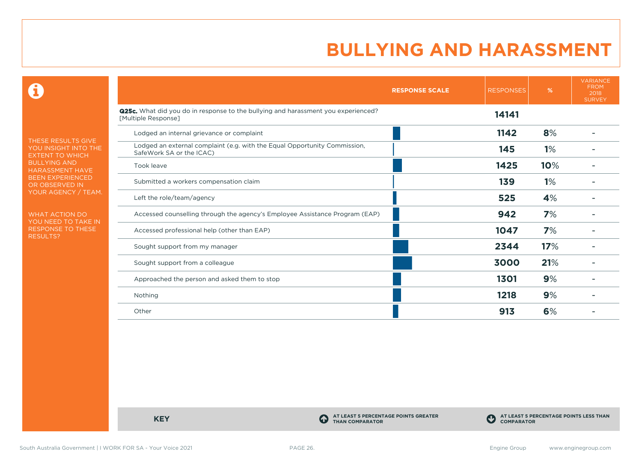$\mathbf \Omega$ 

THESE RESULTS GIVE YOU INSIGHT INTO THE EXTENT TO WHICH BULLYING AND HARASSMENT HAVE BEEN EXPERIENCED OR OBSERVED IN YOUR AGENCY / TEAM.

WHAT ACTION DO YOU NEED TO TAKE IN RESPONSE TO THESE RESULTS?

|                                                                                                                 | <b>RESPONSE SCALE</b> | <b>RESPONSES</b> | %   | <b>VARIANCE</b><br><b>FROM</b><br>2018<br><b>SURVEY</b> |
|-----------------------------------------------------------------------------------------------------------------|-----------------------|------------------|-----|---------------------------------------------------------|
| <b>Q25c.</b> What did you do in response to the bullying and harassment you experienced?<br>[Multiple Response] |                       | 14141            |     |                                                         |
| Lodged an internal grievance or complaint                                                                       |                       | 1142             | 8%  |                                                         |
| Lodged an external complaint (e.g. with the Equal Opportunity Commission,<br>SafeWork SA or the ICAC)           |                       | 145              | 1%  |                                                         |
| Took leave                                                                                                      |                       | 1425             | 10% |                                                         |
| Submitted a workers compensation claim                                                                          |                       | 139              | 1%  |                                                         |
| Left the role/team/agency                                                                                       |                       | 525              | 4%  |                                                         |
| Accessed counselling through the agency's Employee Assistance Program (EAP)                                     |                       | 942              | 7%  |                                                         |
| Accessed professional help (other than EAP)                                                                     |                       | 1047             | 7%  |                                                         |
| Sought support from my manager                                                                                  |                       | 2344             | 17% |                                                         |
| Sought support from a colleague                                                                                 |                       | 3000             | 21% |                                                         |
| Approached the person and asked them to stop                                                                    |                       | 1301             | 9%  |                                                         |
| Nothing                                                                                                         |                       | 1218             | 9%  |                                                         |
| Other                                                                                                           |                       | 913              | 6%  |                                                         |

**KEY C** 

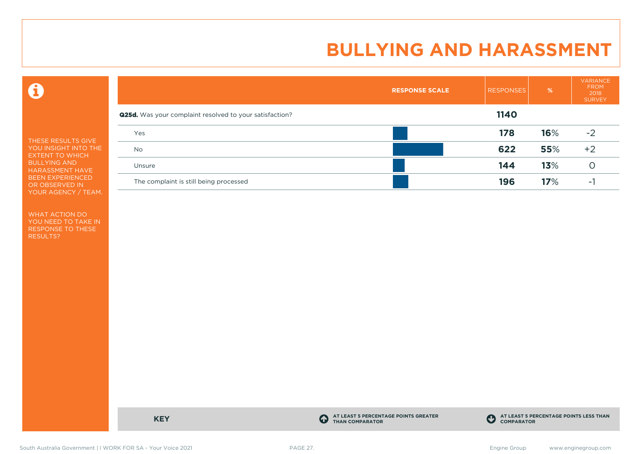$\mathbf \Omega$ 

THESE RESULTS GIVE YOU INSIGHT INTO THE EXTENT TO WHICH BULLYING AND HARASSMENT HAVE BEEN EXPERIENCED OR OBSERVED IN YOUR AGENCY / TEAM.

WHAT ACTION DO YOU NEED TO TAKE IN RESPONSE TO THESE RESULTS?

|                                                                | <b>RESPONSE SCALE</b> | <b>RESPONSES</b> | $\frac{9}{6}$ | <b>VARIANCE</b><br><b>FROM</b><br>2018<br><b>SURVEY</b> |
|----------------------------------------------------------------|-----------------------|------------------|---------------|---------------------------------------------------------|
| <b>Q25d.</b> Was your complaint resolved to your satisfaction? |                       | 1140             |               |                                                         |
| Yes                                                            |                       | 178              | 16%           | $-2$                                                    |
| <b>No</b>                                                      |                       | 622              | 55%           | $+2$                                                    |
| Unsure                                                         |                       | 144              | 13%           |                                                         |
| The complaint is still being processed                         |                       | 196              | 17%           | -                                                       |

**KEY C** 

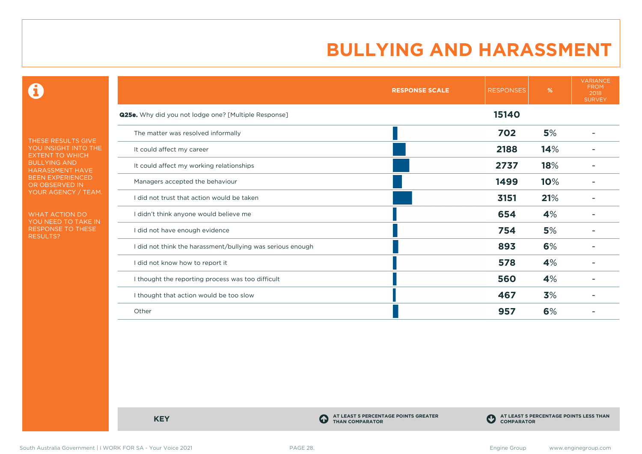$\mathbf \Omega$ 

THESE RESULTS GIVE YOU INSIGHT INTO THE EXTENT TO WHICH BULLYING AND HARASSMENT HAVE BEEN EXPERIENCED OR OBSERVED IN YOUR AGENCY / TEAM.

WHAT ACTION DO YOU NEED TO TAKE IN RESPONSE TO THESE RESULTS?

|                                                             | <b>RESPONSE SCALE</b> | <b>RESPONSES</b> | %   | <b>VARIANCE</b><br><b>FROM</b><br>2018<br><b>SURVEY</b> |
|-------------------------------------------------------------|-----------------------|------------------|-----|---------------------------------------------------------|
| <b>Q25e.</b> Why did you not lodge one? [Multiple Response] |                       | 15140            |     |                                                         |
| The matter was resolved informally                          |                       | 702              | 5%  |                                                         |
| It could affect my career                                   |                       | 2188             | 14% |                                                         |
| It could affect my working relationships                    |                       | 2737             | 18% |                                                         |
| Managers accepted the behaviour                             |                       | 1499             | 10% |                                                         |
| I did not trust that action would be taken                  |                       | 3151             | 21% |                                                         |
| I didn't think anyone would believe me                      |                       | 654              | 4%  |                                                         |
| I did not have enough evidence                              |                       | 754              | 5%  |                                                         |
| I did not think the harassment/bullying was serious enough  |                       | 893              | 6%  |                                                         |
| I did not know how to report it                             |                       | 578              | 4%  |                                                         |
| I thought the reporting process was too difficult           |                       | 560              | 4%  |                                                         |
| I thought that action would be too slow                     |                       | 467              | 3%  |                                                         |
| Other                                                       |                       | 957              | 6%  |                                                         |

**KEY C** 

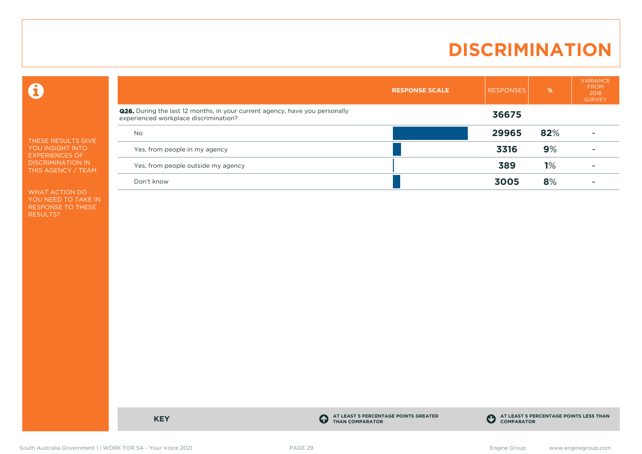# **DISCRIMINATION**

 $\mathbf \Theta$ 

THESE RESULTS GIVE YOU INSIGHT INTO EXPERIENCES OF DISCRIMINATION IN THIS AGENCY / TEAM

WHAT ACTION DO YOU NEED TO TAKE IN RESPONSE TO THESE RESULTS?

|                                                                                                                      | <b>RESPONSE SCALE</b> | <b>RESPONSES</b> | %   | <b>VARIANCE</b><br><b>FROM</b><br>2018<br><b>SURVEY</b> |
|----------------------------------------------------------------------------------------------------------------------|-----------------------|------------------|-----|---------------------------------------------------------|
| Q26. During the last 12 months, in your current agency, have you personally<br>experienced workplace discrimination? |                       | 36675            |     |                                                         |
| <b>No</b>                                                                                                            |                       | 29965            | 82% |                                                         |
| Yes, from people in my agency                                                                                        |                       | 3316             | 9%  |                                                         |
| Yes, from people outside my agency                                                                                   |                       | 389              | 1%  |                                                         |
| Don't know                                                                                                           |                       | 3005             | 8%  |                                                         |

**KEY C** 

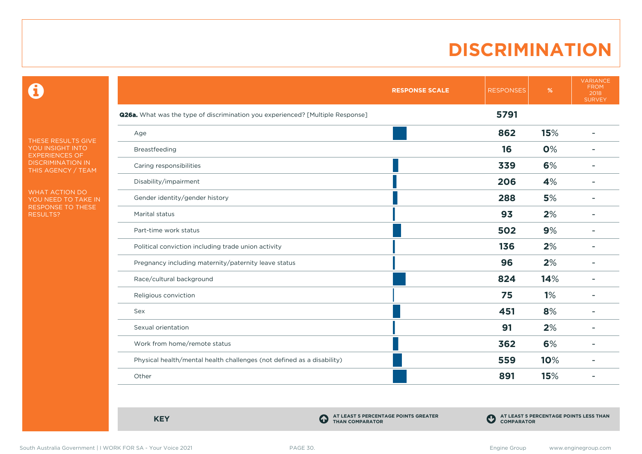#### **DISCRIMINATION**

 $\mathbf \Theta$ 

THESE RESULTS GIVE YOU INSIGHT INTO EXPERIENCES OF DISCRIMINATION IN THIS AGENCY / TEAM

WHAT ACTION DO YOU NEED TO TAKE IN RESPONSE TO THESE RESULTS?

|                                                                                | <b>RESPONSE SCALE</b> | <b>RESPONSES</b> | $\%$ | <b>VARIANCE</b><br><b>FROM</b><br>2018<br><b>SURVEY</b> |
|--------------------------------------------------------------------------------|-----------------------|------------------|------|---------------------------------------------------------|
| Q26a. What was the type of discrimination you experienced? [Multiple Response] |                       | 5791             |      |                                                         |
| Age                                                                            |                       | 862              | 15%  | $\overline{\phantom{0}}$                                |
| Breastfeeding                                                                  |                       | 16               | 0%   |                                                         |
| Caring responsibilities                                                        |                       | 339              | 6%   |                                                         |
| Disability/impairment                                                          |                       | 206              | 4%   | $\overline{\phantom{a}}$                                |
| Gender identity/gender history                                                 |                       | 288              | 5%   | ۰                                                       |
| Marital status                                                                 |                       | 93               | 2%   | $\overline{\phantom{0}}$                                |
| Part-time work status                                                          |                       | 502              | 9%   |                                                         |
| Political conviction including trade union activity                            |                       | 136              | 2%   |                                                         |
| Pregnancy including maternity/paternity leave status                           |                       | 96               | 2%   |                                                         |
| Race/cultural background                                                       |                       | 824              | 14%  |                                                         |
| Religious conviction                                                           |                       | 75               | 1%   |                                                         |
| Sex                                                                            |                       | 451              | 8%   |                                                         |
| Sexual orientation                                                             |                       | 91               | 2%   |                                                         |
| Work from home/remote status                                                   |                       | 362              | 6%   |                                                         |
| Physical health/mental health challenges (not defined as a disability)         |                       | 559              | 10%  |                                                         |
| Other                                                                          |                       | 891              | 15%  |                                                         |

**KEY C** 

**AT LEAST 5 PERCENTAGE POINTS GREATER THAN COMPARATOR**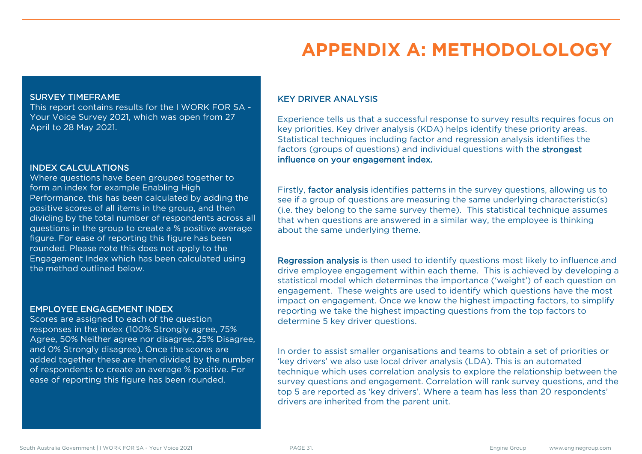# **APPENDIX A: METHODOLOLOGY**

#### SURVEY TIMEFRAME

This report contains results for the I WORK FOR SA - Your Voice Survey 2021, which was open from 27 April to 28 May 2021.

#### INDEX CALCULATIONS

Where questions have been grouped together to form an index for example Enabling High Performance, this has been calculated by adding the positive scores of all items in the group, and then dividing by the total number of respondents across all questions in the group to create a % positive average figure. For ease of reporting this figure has been rounded. Please note this does not apply to the Engagement Index which has been calculated using the method outlined below.

#### EMPLOYEE ENGAGEMENT INDEX

Scores are assigned to each of the question responses in the index (100% Strongly agree, 75% Agree, 50% Neither agree nor disagree, 25% Disagree, and 0% Strongly disagree). Once the scores are added together these are then divided by the number of respondents to create an average % positive. For ease of reporting this figure has been rounded.

#### KEY DRIVER ANALYSIS

Experience tells us that a successful response to survey results requires focus on key priorities. Key driver analysis (KDA) helps identify these priority areas. Statistical techniques including factor and regression analysis identifies the factors (groups of questions) and individual questions with the strongest influence on your engagement index.

Firstly, factor analysis identifies patterns in the survey questions, allowing us to see if a group of questions are measuring the same underlying characteristic(s) (i.e. they belong to the same survey theme). This statistical technique assumes that when questions are answered in a similar way, the employee is thinking about the same underlying theme.

Regression analysis is then used to identify questions most likely to influence and drive employee engagement within each theme. This is achieved by developing a statistical model which determines the importance ('weight') of each question on engagement. These weights are used to identify which questions have the most impact on engagement. Once we know the highest impacting factors, to simplify reporting we take the highest impacting questions from the top factors to determine 5 key driver questions.

In order to assist smaller organisations and teams to obtain a set of priorities or 'key drivers' we also use local driver analysis (LDA). This is an automated technique which uses correlation analysis to explore the relationship between the survey questions and engagement. Correlation will rank survey questions, and the top 5 are reported as 'key drivers'. Where a team has less than 20 respondents' drivers are inherited from the parent unit.